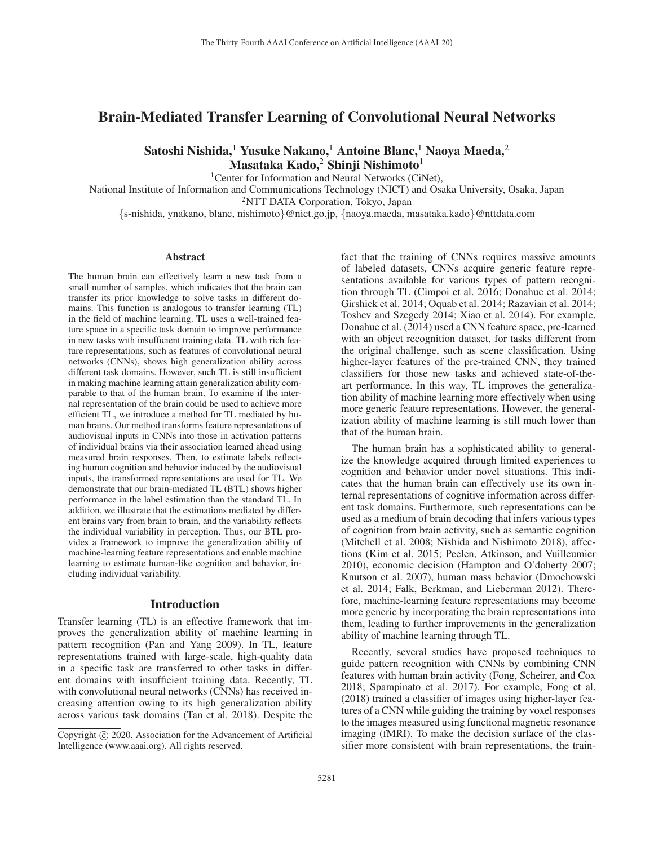# Brain-Mediated Transfer Learning of Convolutional Neural Networks

Satoshi Nishida,<sup>1</sup> Yusuke Nakano,<sup>1</sup> Antoine Blanc,<sup>1</sup> Naoya Maeda,<sup>2</sup> Masataka Kado,<sup>2</sup> Shinji Nishimoto<sup>1</sup>

<sup>1</sup> Center for Information and Neural Networks (CiNet),

National Institute of Information and Communications Technology (NICT) and Osaka University, Osaka, Japan

2NTT DATA Corporation, Tokyo, Japan

{s-nishida, ynakano, blanc, nishimoto}@nict.go.jp, {naoya.maeda, masataka.kado}@nttdata.com

#### Abstract

The human brain can effectively learn a new task from a small number of samples, which indicates that the brain can transfer its prior knowledge to solve tasks in different domains. This function is analogous to transfer learning (TL) in the field of machine learning. TL uses a well-trained feature space in a specific task domain to improve performance in new tasks with insufficient training data. TL with rich feature representations, such as features of convolutional neural networks (CNNs), shows high generalization ability across different task domains. However, such TL is still insufficient in making machine learning attain generalization ability comparable to that of the human brain. To examine if the internal representation of the brain could be used to achieve more efficient TL, we introduce a method for TL mediated by human brains. Our method transforms feature representations of audiovisual inputs in CNNs into those in activation patterns of individual brains via their association learned ahead using measured brain responses. Then, to estimate labels reflecting human cognition and behavior induced by the audiovisual inputs, the transformed representations are used for TL. We demonstrate that our brain-mediated TL (BTL) shows higher performance in the label estimation than the standard TL. In addition, we illustrate that the estimations mediated by different brains vary from brain to brain, and the variability reflects the individual variability in perception. Thus, our BTL provides a framework to improve the generalization ability of machine-learning feature representations and enable machine learning to estimate human-like cognition and behavior, including individual variability.

### Introduction

Transfer learning (TL) is an effective framework that improves the generalization ability of machine learning in pattern recognition (Pan and Yang 2009). In TL, feature representations trained with large-scale, high-quality data in a specific task are transferred to other tasks in different domains with insufficient training data. Recently, TL with convolutional neural networks (CNNs) has received increasing attention owing to its high generalization ability across various task domains (Tan et al. 2018). Despite the

fact that the training of CNNs requires massive amounts of labeled datasets, CNNs acquire generic feature representations available for various types of pattern recognition through TL (Cimpoi et al. 2016; Donahue et al. 2014; Girshick et al. 2014; Oquab et al. 2014; Razavian et al. 2014; Toshev and Szegedy 2014; Xiao et al. 2014). For example, Donahue et al. (2014) used a CNN feature space, pre-learned with an object recognition dataset, for tasks different from the original challenge, such as scene classification. Using higher-layer features of the pre-trained CNN, they trained classifiers for those new tasks and achieved state-of-theart performance. In this way, TL improves the generalization ability of machine learning more effectively when using more generic feature representations. However, the generalization ability of machine learning is still much lower than that of the human brain.

The human brain has a sophisticated ability to generalize the knowledge acquired through limited experiences to cognition and behavior under novel situations. This indicates that the human brain can effectively use its own internal representations of cognitive information across different task domains. Furthermore, such representations can be used as a medium of brain decoding that infers various types of cognition from brain activity, such as semantic cognition (Mitchell et al. 2008; Nishida and Nishimoto 2018), affections (Kim et al. 2015; Peelen, Atkinson, and Vuilleumier 2010), economic decision (Hampton and O'doherty 2007; Knutson et al. 2007), human mass behavior (Dmochowski et al. 2014; Falk, Berkman, and Lieberman 2012). Therefore, machine-learning feature representations may become more generic by incorporating the brain representations into them, leading to further improvements in the generalization ability of machine learning through TL.

Recently, several studies have proposed techniques to guide pattern recognition with CNNs by combining CNN features with human brain activity (Fong, Scheirer, and Cox 2018; Spampinato et al. 2017). For example, Fong et al. (2018) trained a classifier of images using higher-layer features of a CNN while guiding the training by voxel responses to the images measured using functional magnetic resonance imaging (fMRI). To make the decision surface of the classifier more consistent with brain representations, the train-

Copyright  $\odot$  2020, Association for the Advancement of Artificial Intelligence (www.aaai.org). All rights reserved.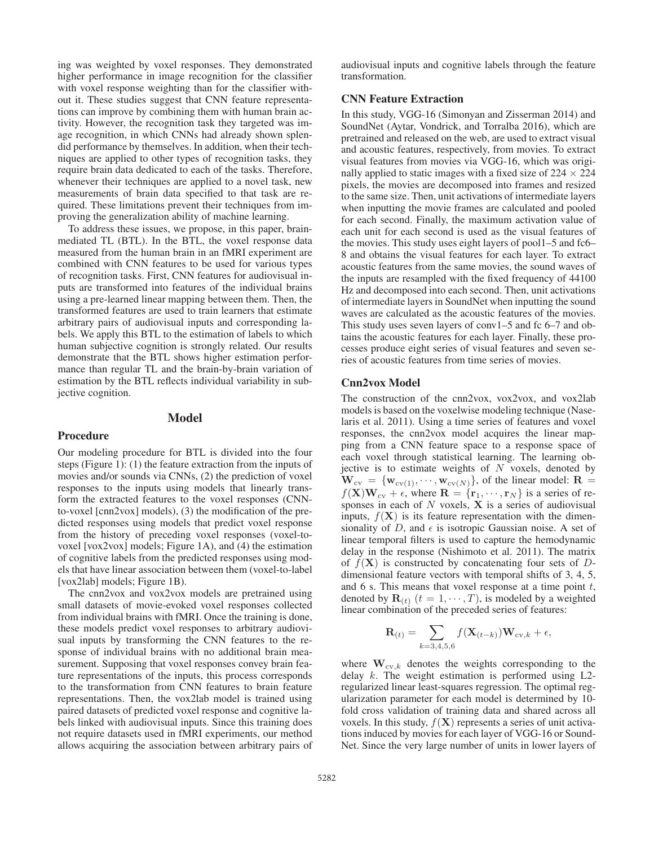ing was weighted by voxel responses. They demonstrated higher performance in image recognition for the classifier with voxel response weighting than for the classifier without it. These studies suggest that CNN feature representations can improve by combining them with human brain activity. However, the recognition task they targeted was image recognition, in which CNNs had already shown splendid performance by themselves. In addition, when their techniques are applied to other types of recognition tasks, they require brain data dedicated to each of the tasks. Therefore, whenever their techniques are applied to a novel task, new measurements of brain data specified to that task are required. These limitations prevent their techniques from improving the generalization ability of machine learning.

To address these issues, we propose, in this paper, brainmediated TL (BTL). In the BTL, the voxel response data measured from the human brain in an fMRI experiment are combined with CNN features to be used for various types of recognition tasks. First, CNN features for audiovisual inputs are transformed into features of the individual brains using a pre-learned linear mapping between them. Then, the transformed features are used to train learners that estimate arbitrary pairs of audiovisual inputs and corresponding labels. We apply this BTL to the estimation of labels to which human subjective cognition is strongly related. Our results demonstrate that the BTL shows higher estimation performance than regular TL and the brain-by-brain variation of estimation by the BTL reflects individual variability in subjective cognition.

### Model

#### Procedure

Our modeling procedure for BTL is divided into the four steps (Figure 1): (1) the feature extraction from the inputs of movies and/or sounds via CNNs, (2) the prediction of voxel responses to the inputs using models that linearly transform the extracted features to the voxel responses (CNNto-voxel [cnn2vox] models), (3) the modification of the predicted responses using models that predict voxel response from the history of preceding voxel responses (voxel-tovoxel [vox2vox] models; Figure 1A), and (4) the estimation of cognitive labels from the predicted responses using models that have linear association between them (voxel-to-label [vox2lab] models; Figure 1B).

The cnn2vox and vox2vox models are pretrained using small datasets of movie-evoked voxel responses collected from individual brains with fMRI. Once the training is done, these models predict voxel responses to arbitrary audiovisual inputs by transforming the CNN features to the response of individual brains with no additional brain measurement. Supposing that voxel responses convey brain feature representations of the inputs, this process corresponds to the transformation from CNN features to brain feature representations. Then, the vox2lab model is trained using paired datasets of predicted voxel response and cognitive labels linked with audiovisual inputs. Since this training does not require datasets used in fMRI experiments, our method allows acquiring the association between arbitrary pairs of audiovisual inputs and cognitive labels through the feature transformation.

## CNN Feature Extraction

In this study, VGG-16 (Simonyan and Zisserman 2014) and SoundNet (Aytar, Vondrick, and Torralba 2016), which are pretrained and released on the web, are used to extract visual and acoustic features, respectively, from movies. To extract visual features from movies via VGG-16, which was originally applied to static images with a fixed size of  $224 \times 224$ pixels, the movies are decomposed into frames and resized to the same size. Then, unit activations of intermediate layers when inputting the movie frames are calculated and pooled for each second. Finally, the maximum activation value of each unit for each second is used as the visual features of the movies. This study uses eight layers of pool1–5 and fc6– 8 and obtains the visual features for each layer. To extract acoustic features from the same movies, the sound waves of the inputs are resampled with the fixed frequency of 44100 Hz and decomposed into each second. Then, unit activations of intermediate layers in SoundNet when inputting the sound waves are calculated as the acoustic features of the movies. This study uses seven layers of conv1–5 and fc 6–7 and obtains the acoustic features for each layer. Finally, these processes produce eight series of visual features and seven series of acoustic features from time series of movies.

### Cnn2vox Model

The construction of the cnn2vox, vox2vox, and vox2lab models is based on the voxelwise modeling technique (Naselaris et al. 2011). Using a time series of features and voxel responses, the cnn2vox model acquires the linear mapping from a CNN feature space to a response space of each voxel through statistical learning. The learning objective is to estimate weights of  $N$  voxels, denoted by  $\mathbf{W}_{\text{cv}} = {\mathbf{w}_{\text{cv}(1)}, \dots, \mathbf{w}_{\text{cv}(N)}}$ , of the linear model:  $\mathbf{R} =$  $f(\mathbf{X})\mathbf{W}_{\text{cv}} + \epsilon$ , where  $\mathbf{R} = \{\mathbf{r}_1, \cdots, \mathbf{r}_N\}$  is a series of responses in each of N voxels, **X** is a series of audiovisual inputs,  $f(\mathbf{X})$  is its feature representation with the dimensionality of  $D$ , and  $\epsilon$  is isotropic Gaussian noise. A set of linear temporal filters is used to capture the hemodynamic delay in the response (Nishimoto et al. 2011). The matrix of  $f(\mathbf{X})$  is constructed by concatenating four sets of  $D$ dimensional feature vectors with temporal shifts of 3, 4, 5, and  $6$  s. This means that voxel response at a time point  $t$ , denoted by  $\mathbf{R}_{(t)}$   $(t = 1, \dots, T)$ , is modeled by a weighted linear combination of the preceded series of features:

$$
\mathbf{R}_{(t)} = \sum_{k=3,4,5,6} f(\mathbf{X}_{(t-k)}) \mathbf{W}_{\text{cv},k} + \epsilon,
$$

where  $\mathbf{W}_{cv,k}$  denotes the weights corresponding to the delay k. The weight estimation is performed using L2 regularized linear least-squares regression. The optimal regularization parameter for each model is determined by 10 fold cross validation of training data and shared across all voxels. In this study,  $f(\mathbf{X})$  represents a series of unit activations induced by movies for each layer of VGG-16 or Sound-Net. Since the very large number of units in lower layers of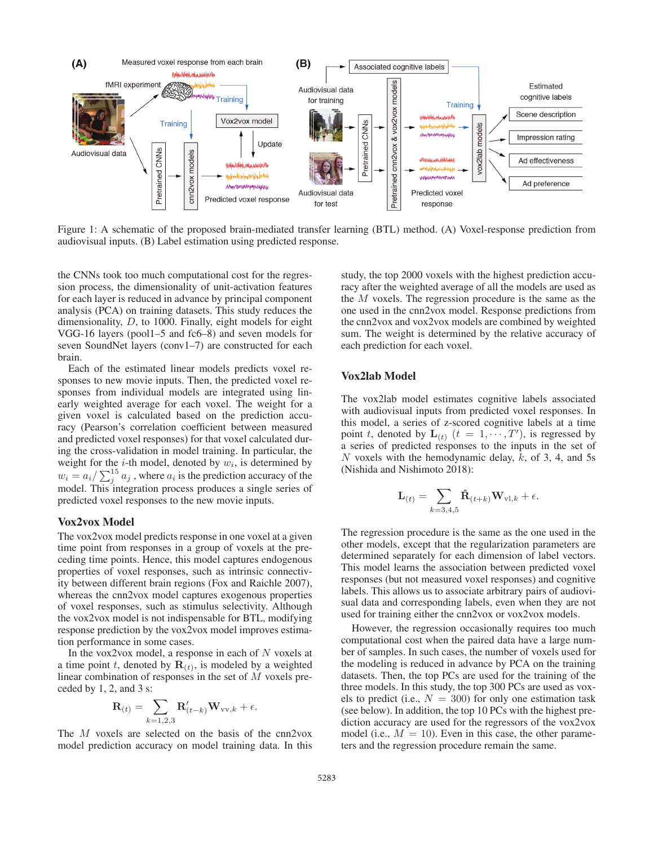

Figure 1: A schematic of the proposed brain-mediated transfer learning (BTL) method. (A) Voxel-response prediction from audiovisual inputs. (B) Label estimation using predicted response.

the CNNs took too much computational cost for the regression process, the dimensionality of unit-activation features for each layer is reduced in advance by principal component analysis (PCA) on training datasets. This study reduces the dimensionality, D, to 1000. Finally, eight models for eight VGG-16 layers (pool1–5 and fc6–8) and seven models for seven SoundNet layers (conv1–7) are constructed for each brain.

Each of the estimated linear models predicts voxel responses to new movie inputs. Then, the predicted voxel responses from individual models are integrated using linearly weighted average for each voxel. The weight for a given voxel is calculated based on the prediction accuracy (Pearson's correlation coefficient between measured and predicted voxel responses) for that voxel calculated during the cross-validation in model training. In particular, the weight for the  $i$ -th model, denoted by  $w_i$ , is determined by  $w_i = a_i / \sum_j^{15} a_j$ , where  $a_i$  is the prediction accuracy of the model. This integration process produces a single series of predicted voxel responses to the new movie inputs.

## Vox2vox Model

The vox2vox model predicts response in one voxel at a given time point from responses in a group of voxels at the preceding time points. Hence, this model captures endogenous properties of voxel responses, such as intrinsic connectivity between different brain regions (Fox and Raichle 2007), whereas the cnn2vox model captures exogenous properties of voxel responses, such as stimulus selectivity. Although the vox2vox model is not indispensable for BTL, modifying response prediction by the vox2vox model improves estimation performance in some cases.

In the vox2vox model, a response in each of  $N$  voxels at a time point t, denoted by  $\mathbf{R}_{(t)}$ , is modeled by a weighted linear combination of responses in the set of M voxels preceded by  $1, 2$ , and  $3$  s:

$$
\mathbf{R}_{(t)} = \sum_{k=1,2,3} \mathbf{R}'_{(t-k)} \mathbf{W}_{\text{vv},k} + \epsilon.
$$

The M voxels are selected on the basis of the cnn2vox model prediction accuracy on model training data. In this

study, the top 2000 voxels with the highest prediction accuracy after the weighted average of all the models are used as the  $M$  voxels. The regression procedure is the same as the one used in the cnn2vox model. Response predictions from the cnn2vox and vox2vox models are combined by weighted sum. The weight is determined by the relative accuracy of each prediction for each voxel.

## Vox2lab Model

The vox2lab model estimates cognitive labels associated with audiovisual inputs from predicted voxel responses. In this model, a series of z-scored cognitive labels at a time point t, denoted by  $\mathbf{L}_{(t)}$   $(t = 1, \cdots, T')$ , is regressed by a series of predicted responses to the inputs in the set of N voxels with the hemodynamic delay,  $k$ , of 3, 4, and 5s (Nishida and Nishimoto 2018):

$$
\mathbf{L}_{(t)} = \sum_{k=3,4,5} \mathbf{\hat{R}}_{(t+k)} \mathbf{W}_{\mathrm{vl},k} + \epsilon.
$$

The regression procedure is the same as the one used in the other models, except that the regularization parameters are determined separately for each dimension of label vectors. This model learns the association between predicted voxel responses (but not measured voxel responses) and cognitive labels. This allows us to associate arbitrary pairs of audiovisual data and corresponding labels, even when they are not used for training either the cnn2vox or vox2vox models.

However, the regression occasionally requires too much computational cost when the paired data have a large number of samples. In such cases, the number of voxels used for the modeling is reduced in advance by PCA on the training datasets. Then, the top PCs are used for the training of the three models. In this study, the top 300 PCs are used as voxels to predict (i.e.,  $N = 300$ ) for only one estimation task (see below). In addition, the top 10 PCs with the highest prediction accuracy are used for the regressors of the vox2vox model (i.e.,  $M = 10$ ). Even in this case, the other parameters and the regression procedure remain the same.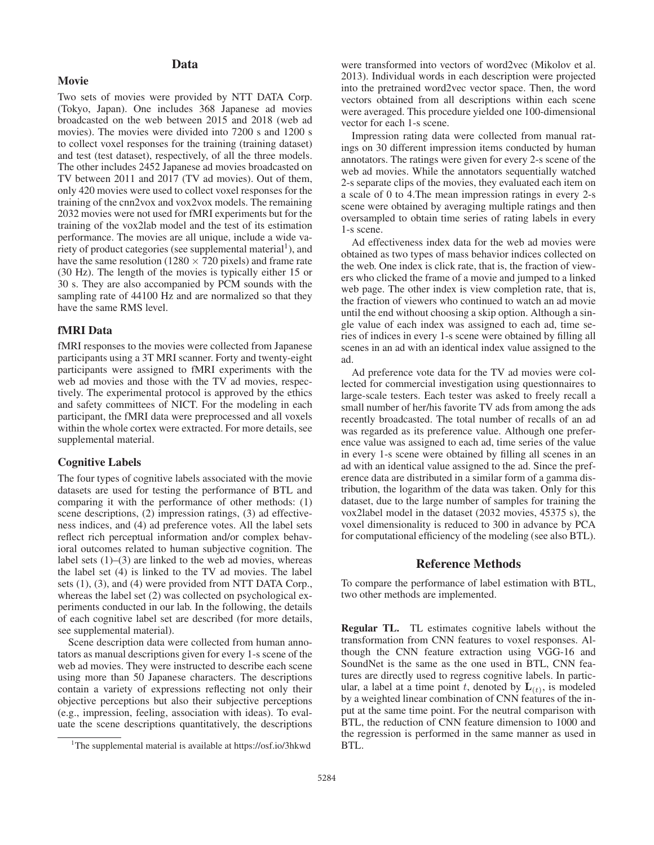# Data

Movie

Two sets of movies were provided by NTT DATA Corp. (Tokyo, Japan). One includes 368 Japanese ad movies broadcasted on the web between 2015 and 2018 (web ad movies). The movies were divided into 7200 s and 1200 s to collect voxel responses for the training (training dataset) and test (test dataset), respectively, of all the three models. The other includes 2452 Japanese ad movies broadcasted on TV between 2011 and 2017 (TV ad movies). Out of them, only 420 movies were used to collect voxel responses for the training of the cnn2vox and vox2vox models. The remaining 2032 movies were not used for fMRI experiments but for the training of the vox2lab model and the test of its estimation performance. The movies are all unique, include a wide variety of product categories (see supplemental material<sup>1</sup>), and have the same resolution (1280  $\times$  720 pixels) and frame rate (30 Hz). The length of the movies is typically either 15 or 30 s. They are also accompanied by PCM sounds with the sampling rate of 44100 Hz and are normalized so that they have the same RMS level.

# fMRI Data

fMRI responses to the movies were collected from Japanese participants using a 3T MRI scanner. Forty and twenty-eight participants were assigned to fMRI experiments with the web ad movies and those with the TV ad movies, respectively. The experimental protocol is approved by the ethics and safety committees of NICT. For the modeling in each participant, the fMRI data were preprocessed and all voxels within the whole cortex were extracted. For more details, see supplemental material.

## Cognitive Labels

The four types of cognitive labels associated with the movie datasets are used for testing the performance of BTL and comparing it with the performance of other methods: (1) scene descriptions, (2) impression ratings, (3) ad effectiveness indices, and (4) ad preference votes. All the label sets reflect rich perceptual information and/or complex behavioral outcomes related to human subjective cognition. The label sets  $(1)$ – $(3)$  are linked to the web ad movies, whereas the label set (4) is linked to the TV ad movies. The label sets (1), (3), and (4) were provided from NTT DATA Corp., whereas the label set (2) was collected on psychological experiments conducted in our lab. In the following, the details of each cognitive label set are described (for more details, see supplemental material).

Scene description data were collected from human annotators as manual descriptions given for every 1-s scene of the web ad movies. They were instructed to describe each scene using more than 50 Japanese characters. The descriptions contain a variety of expressions reflecting not only their objective perceptions but also their subjective perceptions (e.g., impression, feeling, association with ideas). To evaluate the scene descriptions quantitatively, the descriptions

were transformed into vectors of word2vec (Mikolov et al. 2013). Individual words in each description were projected into the pretrained word2vec vector space. Then, the word vectors obtained from all descriptions within each scene were averaged. This procedure yielded one 100-dimensional vector for each 1-s scene.

Impression rating data were collected from manual ratings on 30 different impression items conducted by human annotators. The ratings were given for every 2-s scene of the web ad movies. While the annotators sequentially watched 2-s separate clips of the movies, they evaluated each item on a scale of 0 to 4.The mean impression ratings in every 2-s scene were obtained by averaging multiple ratings and then oversampled to obtain time series of rating labels in every 1-s scene.

Ad effectiveness index data for the web ad movies were obtained as two types of mass behavior indices collected on the web. One index is click rate, that is, the fraction of viewers who clicked the frame of a movie and jumped to a linked web page. The other index is view completion rate, that is, the fraction of viewers who continued to watch an ad movie until the end without choosing a skip option. Although a single value of each index was assigned to each ad, time series of indices in every 1-s scene were obtained by filling all scenes in an ad with an identical index value assigned to the ad.

Ad preference vote data for the TV ad movies were collected for commercial investigation using questionnaires to large-scale testers. Each tester was asked to freely recall a small number of her/his favorite TV ads from among the ads recently broadcasted. The total number of recalls of an ad was regarded as its preference value. Although one preference value was assigned to each ad, time series of the value in every 1-s scene were obtained by filling all scenes in an ad with an identical value assigned to the ad. Since the preference data are distributed in a similar form of a gamma distribution, the logarithm of the data was taken. Only for this dataset, due to the large number of samples for training the vox2label model in the dataset (2032 movies, 45375 s), the voxel dimensionality is reduced to 300 in advance by PCA for computational efficiency of the modeling (see also BTL).

# Reference Methods

To compare the performance of label estimation with BTL, two other methods are implemented.

Regular TL. TL estimates cognitive labels without the transformation from CNN features to voxel responses. Although the CNN feature extraction using VGG-16 and SoundNet is the same as the one used in BTL, CNN features are directly used to regress cognitive labels. In particular, a label at a time point t, denoted by  $\mathbf{L}_{(t)}$ , is modeled by a weighted linear combination of CNN features of the input at the same time point. For the neutral comparison with BTL, the reduction of CNN feature dimension to 1000 and the regression is performed in the same manner as used in BTL.

<sup>&</sup>lt;sup>1</sup>The supplemental material is available at https://osf.io/3hkwd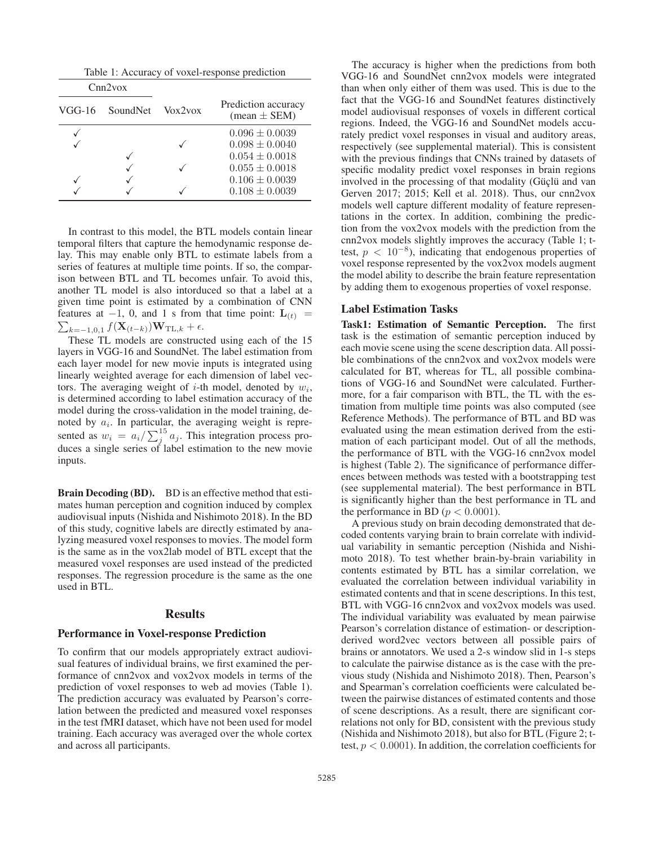Table 1: Accuracy of voxel-response prediction

| Cnn2vox<br>$VGG-16$<br>SoundNet Vox2vox |  |  | Prediction accuracy<br>$mean \pm SEM$ |  |  |
|-----------------------------------------|--|--|---------------------------------------|--|--|
|                                         |  |  |                                       |  |  |
|                                         |  |  | $0.096 \pm 0.0039$                    |  |  |
|                                         |  |  | $0.098 \pm 0.0040$                    |  |  |
|                                         |  |  | $0.054 \pm 0.0018$                    |  |  |
|                                         |  |  | $0.055 \pm 0.0018$                    |  |  |
|                                         |  |  | $0.106 \pm 0.0039$                    |  |  |
|                                         |  |  | $0.108 \pm 0.0039$                    |  |  |

In contrast to this model, the BTL models contain linear temporal filters that capture the hemodynamic response delay. This may enable only BTL to estimate labels from a series of features at multiple time points. If so, the comparison between BTL and TL becomes unfair. To avoid this, another TL model is also intorduced so that a label at a given time point is estimated by a combination of CNN  $\sum_{k=-1,0,1} f(\mathbf{X}_{(t-k)})\mathbf{W}_{\mathrm{TL},k} + \epsilon.$ features at  $-1$ , 0, and 1 s from that time point:  $\mathbf{L}_{(t)}$  =

These TL models are constructed using each of the 15 layers in VGG-16 and SoundNet. The label estimation from each layer model for new movie inputs is integrated using linearly weighted average for each dimension of label vectors. The averaging weight of *i*-th model, denoted by  $w_i$ , is determined according to label estimation accuracy of the model during the cross-validation in the model training, denoted by  $a_i$ . In particular, the averaging weight is represented as  $w_i = a_i / \sum_j^{15} a_j$ . This integration process produces a single series of label estimation to the new movie inputs.

Brain Decoding (BD). BD is an effective method that estimates human perception and cognition induced by complex audiovisual inputs (Nishida and Nishimoto 2018). In the BD of this study, cognitive labels are directly estimated by analyzing measured voxel responses to movies. The model form is the same as in the vox2lab model of BTL except that the measured voxel responses are used instead of the predicted responses. The regression procedure is the same as the one used in BTL.

### Results

## Performance in Voxel-response Prediction

To confirm that our models appropriately extract audiovisual features of individual brains, we first examined the performance of cnn2vox and vox2vox models in terms of the prediction of voxel responses to web ad movies (Table 1). The prediction accuracy was evaluated by Pearson's correlation between the predicted and measured voxel responses in the test fMRI dataset, which have not been used for model training. Each accuracy was averaged over the whole cortex and across all participants.

The accuracy is higher when the predictions from both VGG-16 and SoundNet cnn2vox models were integrated than when only either of them was used. This is due to the fact that the VGG-16 and SoundNet features distinctively model audiovisual responses of voxels in different cortical regions. Indeed, the VGG-16 and SoundNet models accurately predict voxel responses in visual and auditory areas, respectively (see supplemental material). This is consistent with the previous findings that CNNs trained by datasets of specific modality predict voxel responses in brain regions involved in the processing of that modality (Güçlü and van Gerven 2017; 2015; Kell et al. 2018). Thus, our cnn2vox models well capture different modality of feature representations in the cortex. In addition, combining the prediction from the vox2vox models with the prediction from the cnn2vox models slightly improves the accuracy (Table 1; ttest,  $p < 10^{-8}$ ), indicating that endogenous properties of voxel response represented by the vox2vox models augment the model ability to describe the brain feature representation by adding them to exogenous properties of voxel response.

### Label Estimation Tasks

Task1: Estimation of Semantic Perception. The first task is the estimation of semantic perception induced by each movie scene using the scene description data. All possible combinations of the cnn2vox and vox2vox models were calculated for BT, whereas for TL, all possible combinations of VGG-16 and SoundNet were calculated. Furthermore, for a fair comparison with BTL, the TL with the estimation from multiple time points was also computed (see Reference Methods). The performance of BTL and BD was evaluated using the mean estimation derived from the estimation of each participant model. Out of all the methods, the performance of BTL with the VGG-16 cnn2vox model is highest (Table 2). The significance of performance differences between methods was tested with a bootstrapping test (see supplemental material). The best performance in BTL is significantly higher than the best performance in TL and the performance in BD ( $p < 0.0001$ ).

A previous study on brain decoding demonstrated that decoded contents varying brain to brain correlate with individual variability in semantic perception (Nishida and Nishimoto 2018). To test whether brain-by-brain variability in contents estimated by BTL has a similar correlation, we evaluated the correlation between individual variability in estimated contents and that in scene descriptions. In this test, BTL with VGG-16 cnn2vox and vox2vox models was used. The individual variability was evaluated by mean pairwise Pearson's correlation distance of estimation- or descriptionderived word2vec vectors between all possible pairs of brains or annotators. We used a 2-s window slid in 1-s steps to calculate the pairwise distance as is the case with the previous study (Nishida and Nishimoto 2018). Then, Pearson's and Spearman's correlation coefficients were calculated between the pairwise distances of estimated contents and those of scene descriptions. As a result, there are significant correlations not only for BD, consistent with the previous study (Nishida and Nishimoto 2018), but also for BTL (Figure 2; ttest,  $p < 0.0001$ ). In addition, the correlation coefficients for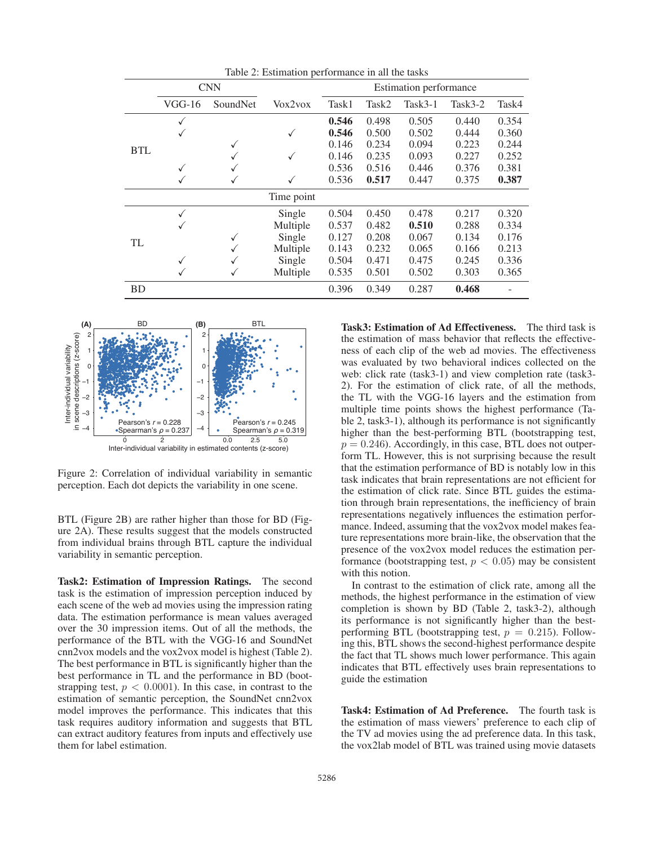| raore 2: Estimation performance in an the tasks |              |          |            |                        |       |         |            |       |  |  |
|-------------------------------------------------|--------------|----------|------------|------------------------|-------|---------|------------|-------|--|--|
|                                                 | <b>CNN</b>   |          |            | Estimation performance |       |         |            |       |  |  |
|                                                 | $VGG-16$     | SoundNet | Vox2vox    | Task1                  | Task2 | Task3-1 | Task $3-2$ | Task4 |  |  |
| <b>BTL</b>                                      | $\checkmark$ |          |            | 0.546                  | 0.498 | 0.505   | 0.440      | 0.354 |  |  |
|                                                 |              |          |            | 0.546                  | 0.500 | 0.502   | 0.444      | 0.360 |  |  |
|                                                 |              |          |            | 0.146                  | 0.234 | 0.094   | 0.223      | 0.244 |  |  |
|                                                 |              |          |            | 0.146                  | 0.235 | 0.093   | 0.227      | 0.252 |  |  |
|                                                 |              |          |            | 0.536                  | 0.516 | 0.446   | 0.376      | 0.381 |  |  |
|                                                 |              |          |            | 0.536                  | 0.517 | 0.447   | 0.375      | 0.387 |  |  |
|                                                 |              |          | Time point |                        |       |         |            |       |  |  |
| TL                                              | ✓            |          | Single     | 0.504                  | 0.450 | 0.478   | 0.217      | 0.320 |  |  |
|                                                 | ✓            |          | Multiple   | 0.537                  | 0.482 | 0.510   | 0.288      | 0.334 |  |  |
|                                                 |              | ✓        | Single     | 0.127                  | 0.208 | 0.067   | 0.134      | 0.176 |  |  |
|                                                 |              |          | Multiple   | 0.143                  | 0.232 | 0.065   | 0.166      | 0.213 |  |  |
|                                                 | ✓            |          | Single     | 0.504                  | 0.471 | 0.475   | 0.245      | 0.336 |  |  |
|                                                 |              | ✓        | Multiple   | 0.535                  | 0.501 | 0.502   | 0.303      | 0.365 |  |  |
| <b>BD</b>                                       |              |          |            | 0.396                  | 0.349 | 0.287   | 0.468      |       |  |  |

Table 2: Estimation performance in all the tasks



Figure 2: Correlation of individual variability in semantic perception. Each dot depicts the variability in one scene.

BTL (Figure 2B) are rather higher than those for BD (Figure 2A). These results suggest that the models constructed from individual brains through BTL capture the individual variability in semantic perception.

Task2: Estimation of Impression Ratings. The second task is the estimation of impression perception induced by each scene of the web ad movies using the impression rating data. The estimation performance is mean values averaged over the 30 impression items. Out of all the methods, the performance of the BTL with the VGG-16 and SoundNet cnn2vox models and the vox2vox model is highest (Table 2). The best performance in BTL is significantly higher than the best performance in TL and the performance in BD (bootstrapping test,  $p < 0.0001$ ). In this case, in contrast to the estimation of semantic perception, the SoundNet cnn2vox model improves the performance. This indicates that this task requires auditory information and suggests that BTL can extract auditory features from inputs and effectively use them for label estimation.

Task3: Estimation of Ad Effectiveness. The third task is the estimation of mass behavior that reflects the effectiveness of each clip of the web ad movies. The effectiveness was evaluated by two behavioral indices collected on the web: click rate (task3-1) and view completion rate (task3- 2). For the estimation of click rate, of all the methods, the TL with the VGG-16 layers and the estimation from multiple time points shows the highest performance (Table 2, task3-1), although its performance is not significantly higher than the best-performing BTL (bootstrapping test,  $p = 0.246$ ). Accordingly, in this case, BTL does not outperform TL. However, this is not surprising because the result that the estimation performance of BD is notably low in this task indicates that brain representations are not efficient for the estimation of click rate. Since BTL guides the estimation through brain representations, the inefficiency of brain representations negatively influences the estimation performance. Indeed, assuming that the vox2vox model makes feature representations more brain-like, the observation that the presence of the vox2vox model reduces the estimation performance (bootstrapping test,  $p < 0.05$ ) may be consistent with this notion.

In contrast to the estimation of click rate, among all the methods, the highest performance in the estimation of view completion is shown by BD (Table 2, task3-2), although its performance is not significantly higher than the bestperforming BTL (bootstrapping test,  $p = 0.215$ ). Following this, BTL shows the second-highest performance despite the fact that TL shows much lower performance. This again indicates that BTL effectively uses brain representations to guide the estimation

Task4: Estimation of Ad Preference. The fourth task is the estimation of mass viewers' preference to each clip of the TV ad movies using the ad preference data. In this task, the vox2lab model of BTL was trained using movie datasets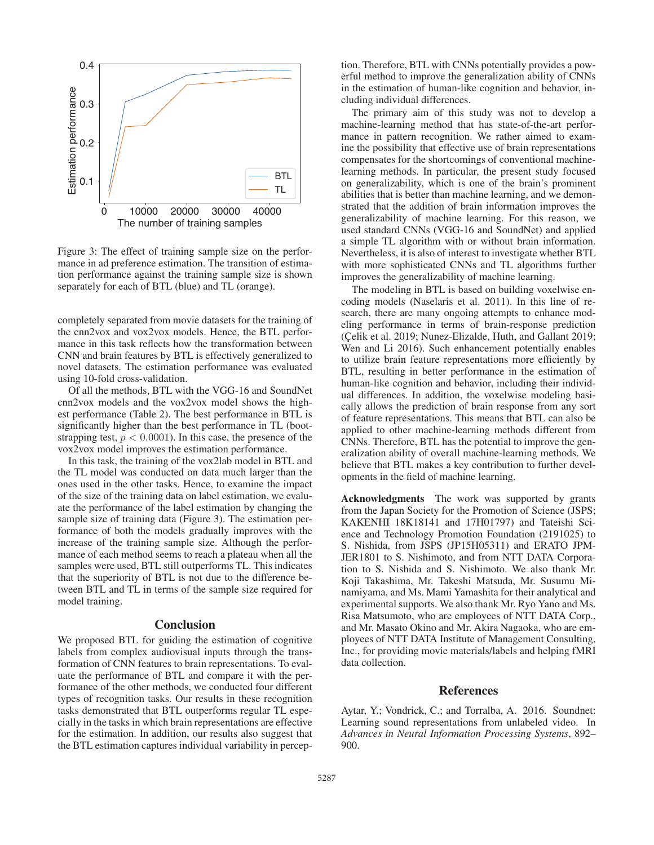

Figure 3: The effect of training sample size on the performance in ad preference estimation. The transition of estimation performance against the training sample size is shown separately for each of BTL (blue) and TL (orange).

completely separated from movie datasets for the training of the cnn2vox and vox2vox models. Hence, the BTL performance in this task reflects how the transformation between CNN and brain features by BTL is effectively generalized to novel datasets. The estimation performance was evaluated using 10-fold cross-validation.

Of all the methods, BTL with the VGG-16 and SoundNet cnn2vox models and the vox2vox model shows the highest performance (Table 2). The best performance in BTL is significantly higher than the best performance in TL (bootstrapping test,  $p < 0.0001$ ). In this case, the presence of the vox2vox model improves the estimation performance.

In this task, the training of the vox2lab model in BTL and the TL model was conducted on data much larger than the ones used in the other tasks. Hence, to examine the impact of the size of the training data on label estimation, we evaluate the performance of the label estimation by changing the sample size of training data (Figure 3). The estimation performance of both the models gradually improves with the increase of the training sample size. Although the performance of each method seems to reach a plateau when all the samples were used, BTL still outperforms TL. This indicates that the superiority of BTL is not due to the difference between BTL and TL in terms of the sample size required for model training.

### **Conclusion**

We proposed BTL for guiding the estimation of cognitive labels from complex audiovisual inputs through the transformation of CNN features to brain representations. To evaluate the performance of BTL and compare it with the performance of the other methods, we conducted four different types of recognition tasks. Our results in these recognition tasks demonstrated that BTL outperforms regular TL especially in the tasks in which brain representations are effective for the estimation. In addition, our results also suggest that the BTL estimation captures individual variability in percep-

tion. Therefore, BTL with CNNs potentially provides a powerful method to improve the generalization ability of CNNs in the estimation of human-like cognition and behavior, including individual differences.

The primary aim of this study was not to develop a machine-learning method that has state-of-the-art performance in pattern recognition. We rather aimed to examine the possibility that effective use of brain representations compensates for the shortcomings of conventional machinelearning methods. In particular, the present study focused on generalizability, which is one of the brain's prominent abilities that is better than machine learning, and we demonstrated that the addition of brain information improves the generalizability of machine learning. For this reason, we used standard CNNs (VGG-16 and SoundNet) and applied a simple TL algorithm with or without brain information. Nevertheless, it is also of interest to investigate whether BTL with more sophisticated CNNs and TL algorithms further improves the generalizability of machine learning.

The modeling in BTL is based on building voxelwise encoding models (Naselaris et al. 2011). In this line of research, there are many ongoing attempts to enhance modeling performance in terms of brain-response prediction (Celik et al. 2019; Nunez-Elizalde, Huth, and Gallant 2019; Wen and Li 2016). Such enhancement potentially enables to utilize brain feature representations more efficiently by BTL, resulting in better performance in the estimation of human-like cognition and behavior, including their individual differences. In addition, the voxelwise modeling basically allows the prediction of brain response from any sort of feature representations. This means that BTL can also be applied to other machine-learning methods different from CNNs. Therefore, BTL has the potential to improve the generalization ability of overall machine-learning methods. We believe that BTL makes a key contribution to further developments in the field of machine learning.

Acknowledgments The work was supported by grants from the Japan Society for the Promotion of Science (JSPS; KAKENHI 18K18141 and 17H01797) and Tateishi Science and Technology Promotion Foundation (2191025) to S. Nishida, from JSPS (JP15H05311) and ERATO JPM-JER1801 to S. Nishimoto, and from NTT DATA Corporation to S. Nishida and S. Nishimoto. We also thank Mr. Koji Takashima, Mr. Takeshi Matsuda, Mr. Susumu Minamiyama, and Ms. Mami Yamashita for their analytical and experimental supports. We also thank Mr. Ryo Yano and Ms. Risa Matsumoto, who are employees of NTT DATA Corp., and Mr. Masato Okino and Mr. Akira Nagaoka, who are employees of NTT DATA Institute of Management Consulting, Inc., for providing movie materials/labels and helping fMRI data collection.

### References

Aytar, Y.; Vondrick, C.; and Torralba, A. 2016. Soundnet: Learning sound representations from unlabeled video. In *Advances in Neural Information Processing Systems*, 892– 900.